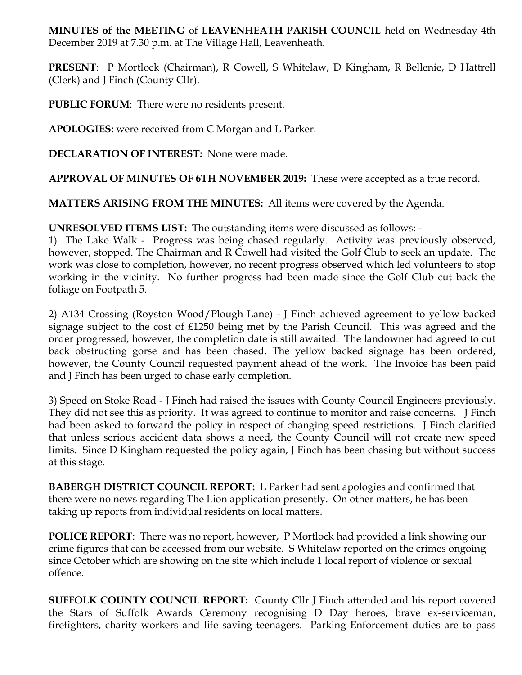**MINUTES of the MEETING** of **LEAVENHEATH PARISH COUNCIL** held on Wednesday 4th December 2019 at 7.30 p.m. at The Village Hall, Leavenheath.

**PRESENT**: P Mortlock (Chairman), R Cowell, S Whitelaw, D Kingham, R Bellenie, D Hattrell (Clerk) and J Finch (County Cllr).

**PUBLIC FORUM**: There were no residents present.

**APOLOGIES:** were received from C Morgan and L Parker.

**DECLARATION OF INTEREST:** None were made.

**APPROVAL OF MINUTES OF 6TH NOVEMBER 2019:** These were accepted as a true record.

**MATTERS ARISING FROM THE MINUTES:** All items were covered by the Agenda.

**UNRESOLVED ITEMS LIST:** The outstanding items were discussed as follows: -

1) The Lake Walk - Progress was being chased regularly. Activity was previously observed, however, stopped. The Chairman and R Cowell had visited the Golf Club to seek an update. The work was close to completion, however, no recent progress observed which led volunteers to stop working in the vicinity. No further progress had been made since the Golf Club cut back the foliage on Footpath 5.

2) A134 Crossing (Royston Wood/Plough Lane) - J Finch achieved agreement to yellow backed signage subject to the cost of £1250 being met by the Parish Council. This was agreed and the order progressed, however, the completion date is still awaited. The landowner had agreed to cut back obstructing gorse and has been chased. The yellow backed signage has been ordered, however, the County Council requested payment ahead of the work. The Invoice has been paid and J Finch has been urged to chase early completion.

3) Speed on Stoke Road - J Finch had raised the issues with County Council Engineers previously. They did not see this as priority. It was agreed to continue to monitor and raise concerns. J Finch had been asked to forward the policy in respect of changing speed restrictions. J Finch clarified that unless serious accident data shows a need, the County Council will not create new speed limits. Since D Kingham requested the policy again, J Finch has been chasing but without success at this stage.

**BABERGH DISTRICT COUNCIL REPORT:** L Parker had sent apologies and confirmed that there were no news regarding The Lion application presently. On other matters, he has been taking up reports from individual residents on local matters.

**POLICE REPORT**: There was no report, however, P Mortlock had provided a link showing our crime figures that can be accessed from our website. S Whitelaw reported on the crimes ongoing since October which are showing on the site which include 1 local report of violence or sexual offence.

**SUFFOLK COUNTY COUNCIL REPORT:** County Cllr J Finch attended and his report covered the Stars of Suffolk Awards Ceremony recognising D Day heroes, brave ex-serviceman, firefighters, charity workers and life saving teenagers. Parking Enforcement duties are to pass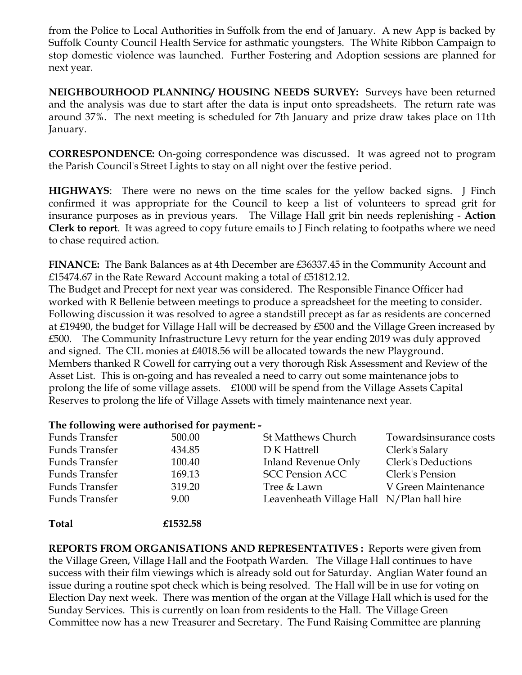from the Police to Local Authorities in Suffolk from the end of January. A new App is backed by Suffolk County Council Health Service for asthmatic youngsters. The White Ribbon Campaign to stop domestic violence was launched. Further Fostering and Adoption sessions are planned for next year.

**NEIGHBOURHOOD PLANNING/ HOUSING NEEDS SURVEY:** Surveys have been returned and the analysis was due to start after the data is input onto spreadsheets. The return rate was around 37%. The next meeting is scheduled for 7th January and prize draw takes place on 11th January.

**CORRESPONDENCE:** On-going correspondence was discussed. It was agreed not to program the Parish Council's Street Lights to stay on all night over the festive period.

**HIGHWAYS**: There were no news on the time scales for the yellow backed signs. J Finch confirmed it was appropriate for the Council to keep a list of volunteers to spread grit for insurance purposes as in previous years. The Village Hall grit bin needs replenishing - **Action Clerk to report**. It was agreed to copy future emails to J Finch relating to footpaths where we need to chase required action.

**FINANCE:** The Bank Balances as at 4th December are £36337.45 in the Community Account and £15474.67 in the Rate Reward Account making a total of £51812.12.

The Budget and Precept for next year was considered. The Responsible Finance Officer had worked with R Bellenie between meetings to produce a spreadsheet for the meeting to consider. Following discussion it was resolved to agree a standstill precept as far as residents are concerned at £19490, the budget for Village Hall will be decreased by £500 and the Village Green increased by £500. The Community Infrastructure Levy return for the year ending 2019 was duly approved and signed. The CIL monies at £4018.56 will be allocated towards the new Playground. Members thanked R Cowell for carrying out a very thorough Risk Assessment and Review of the Asset List. This is on-going and has revealed a need to carry out some maintenance jobs to prolong the life of some village assets. £1000 will be spend from the Village Assets Capital Reserves to prolong the life of Village Assets with timely maintenance next year.

## **The following were authorised for payment: -**

| Funds Transfer | 500.00   | <b>St Matthews Church</b>                 | Towardsinsurance costs    |
|----------------|----------|-------------------------------------------|---------------------------|
| Funds Transfer | 434.85   | D K Hattrell                              | Clerk's Salary            |
| Funds Transfer | 100.40   | <b>Inland Revenue Only</b>                | <b>Clerk's Deductions</b> |
| Funds Transfer | 169.13   | <b>SCC Pension ACC</b>                    | Clerk's Pension           |
| Funds Transfer | 319.20   | Tree & Lawn                               | V Green Maintenance       |
| Funds Transfer | 9.00     | Leavenheath Village Hall N/Plan hall hire |                           |
| <b>Total</b>   | £1532.58 |                                           |                           |

**REPORTS FROM ORGANISATIONS AND REPRESENTATIVES :** Reports were given from the Village Green, Village Hall and the Footpath Warden. The Village Hall continues to have success with their film viewings which is already sold out for Saturday. Anglian Water found an issue during a routine spot check which is being resolved. The Hall will be in use for voting on Election Day next week. There was mention of the organ at the Village Hall which is used for the Sunday Services. This is currently on loan from residents to the Hall. The Village Green Committee now has a new Treasurer and Secretary. The Fund Raising Committee are planning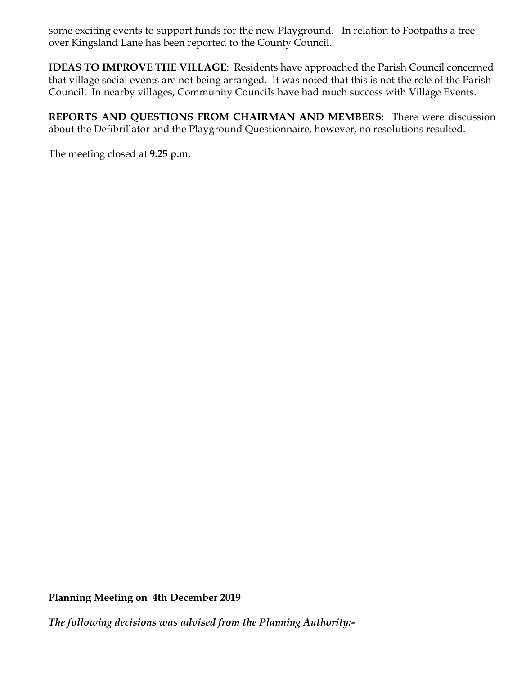some exciting events to support funds for the new Playground. In relation to Footpaths a tree over Kingsland Lane has been reported to the County Council.

**IDEAS TO IMPROVE THE VILLAGE**: Residents have approached the Parish Council concerned that village social events are not being arranged. It was noted that this is not the role of the Parish Council. In nearby villages, Community Councils have had much success with Village Events.

**REPORTS AND QUESTIONS FROM CHAIRMAN AND MEMBERS**: There were discussion about the Defibrillator and the Playground Questionnaire, however, no resolutions resulted.

The meeting closed at **9.25 p.m**.

**Planning Meeting on 4th December 2019**

*The following decisions was advised from the Planning Authority:-*